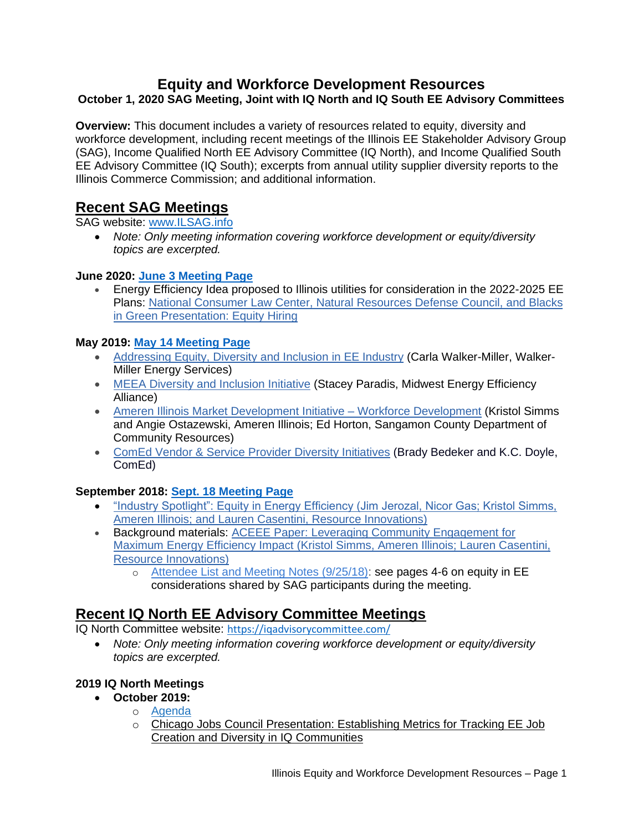## **Equity and Workforce Development Resources October 1, 2020 SAG Meeting, Joint with IQ North and IQ South EE Advisory Committees**

**Overview:** This document includes a variety of resources related to equity, diversity and workforce development, including recent meetings of the Illinois EE Stakeholder Advisory Group (SAG), Income Qualified North EE Advisory Committee (IQ North), and Income Qualified South EE Advisory Committee (IQ South); excerpts from annual utility supplier diversity reports to the Illinois Commerce Commission; and additional information.

# **Recent SAG Meetings**

SAG website: [www.ILSAG.info](http://www.ilsag.info/)

• *Note: Only meeting information covering workforce development or equity/diversity topics are excerpted.*

#### **June 2020: [June 3 Meeting](https://www.ilsag.info/event/wednesday-june-3-sag-meeting/) Page**

• Energy Efficiency Idea proposed to Illinois utilities for consideration in the 2022-2025 EE Plans: [National Consumer Law Center, Natural Resources Defense Council, and Blacks](https://ilsag.s3.amazonaws.com/Equity-Hiring-Presentation-BIG-NCLC-NRDC_6-3-2020.pdf)  [in Green Presentation: Equity Hiring](https://ilsag.s3.amazonaws.com/Equity-Hiring-Presentation-BIG-NCLC-NRDC_6-3-2020.pdf)

## **May 2019: [May 14 Meeting Page](https://www.ilsag.info/event/mm_2019_5_14/)**

- [Addressing Equity, Diversity and Inclusion in EE Industry](http://ilsagfiles.org/SAG_files/Meeting_Materials/2019/May-14-2019_Meeting/Walker-Miller_Energy_Services_Final_Illinois_SAG_Presentation_5-14-19.pdf) (Carla Walker-Miller, Walker-Miller Energy Services)
- [MEEA Diversity and Inclusion Initiative](http://ilsagfiles.org/SAG_files/Meeting_Materials/2019/May-14-2019_Meeting/MEEA_DI_Initiative_May_2019_SAG_Meeting.pdf) (Stacey Paradis, Midwest Energy Efficiency Alliance)
- [Ameren Illinois Market Development Initiative –](http://ilsagfiles.org/SAG_files/Meeting_Materials/2019/May-14-2019_Meeting/AIC_MDI_2019_Workforce_Development_Initiatives_2019-5-14_FINAL.pdf) Workforce Development (Kristol Simms and Angie Ostazewski, Ameren Illinois; Ed Horton, Sangamon County Department of Community Resources)
- [ComEd Vendor & Service Provider Diversity Initiatives](http://ilsagfiles.org/SAG_files/Meeting_Materials/2019/May-14-2019_Meeting/ComEd_SAG_Presentation_Vendor_EESP_Diversity_05-14-19_FINAL.pdf) (Brady Bedeker and K.C. Doyle, ComEd)

## **September 2018: [Sept. 18 Meeting Page](https://www.ilsag.info/event/mm_2018_9-18/)**

- ["Industry Spotlight": Equity in Energy Efficiency \(Jim Jerozal, Nicor Gas; Kristol Simms,](http://ilsagfiles.org/SAG_files/Meeting_Materials/2018/September_18_2018_Meeting/SAG_Equity_in_Energy_Efficiency_09-18-2018_KWS.pdf)  [Ameren Illinois; and Lauren Casentini, Resource Innovations\)](http://ilsagfiles.org/SAG_files/Meeting_Materials/2018/September_18_2018_Meeting/SAG_Equity_in_Energy_Efficiency_09-18-2018_KWS.pdf)
- Background materials: ACEEE Paper: [Leveraging Community Engagement for](http://ilsagfiles.org/SAG_files/Meeting_Materials/2018/September_18_2018_Meeting/ACEEE_Paper_Final.pdf)  [Maximum Energy Efficiency Impact \(Kristol Simms, Ameren Illinois; Lauren Casentini,](http://ilsagfiles.org/SAG_files/Meeting_Materials/2018/September_18_2018_Meeting/ACEEE_Paper_Final.pdf)  [Resource Innovations\)](http://ilsagfiles.org/SAG_files/Meeting_Materials/2018/September_18_2018_Meeting/ACEEE_Paper_Final.pdf)
	- o [Attendee List and Meeting Notes \(9/25/18\):](http://ilsagfiles.org/SAG_files/Meeting_Materials/2018/September_18_2018_Meeting/SAG_Large_Group_Sept-18-2018_Meeting_Attendees_and_Meeting_Notes_Final.pdf) see pages 4-6 on equity in EE considerations shared by SAG participants during the meeting.

# **Recent IQ North EE Advisory Committee Meetings**

IQ North Committee website: <https://iqadvisorycommittee.com/>

• *Note: Only meeting information covering workforce development or equity/diversity topics are excerpted.*

## **2019 IQ North Meetings**

- **October 2019:**
	- o [Agenda](https://iqadvisorycommittee.com/wp-content/uploads/2019/10/Final-Agenda_IQ-North_10-30-19_Meeting-1.pdf)
		- o Chicago Jobs Council [Presentation:](https://iqadvisorycommittee.com/wp-content/uploads/2019/10/Establishing-Metrics-for-Tracking-Energy-Efficiency-Job-Creation-and-Diversity-in-IQ-Communities-1.pdf) Establishing Metrics for Tracking EE Job Creation and Diversity in IQ [Communities](https://iqadvisorycommittee.com/wp-content/uploads/2019/10/Establishing-Metrics-for-Tracking-Energy-Efficiency-Job-Creation-and-Diversity-in-IQ-Communities-1.pdf)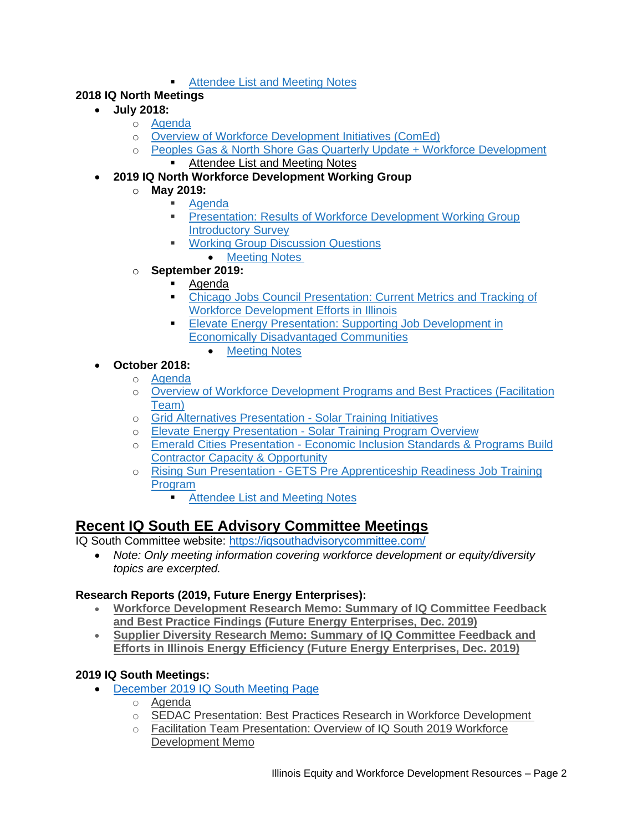**[Attendee](https://iqadvisorycommittee.com/wp-content/uploads/2019/11/Final_Meeting-Notes_IQ-North_10-30-19-Meeting.pdf) List and Meeting Notes** 

## **2018 IQ North Meetings**

- **July 2018:**
	- o [Agenda](https://iqadvisorycommittee.com/wp-content/uploads/2018/10/IQ_North_Agenda_Meeting-3_July-30-18_final_draft.pdf)
	- o Overview of Workforce [Development](https://iqadvisorycommittee.com/wp-content/uploads/2018/10/July-2018_IE_Committee_Workforce_Biz_Devt_ComEd_Presentation.pdf) Initiatives (ComEd)
	- o Peoples Gas & North Shore Gas Quarterly Update + Workforce [Development](https://iqadvisorycommittee.com/wp-content/uploads/2018/10/IQ_North_Presentation_PGL-NSG-Final-WFD.pdf) ■ [Attendee](https://iqadvisorycommittee.com/wp-content/uploads/2018/10/IQ_North_Advisory_Committee_July-30-2018_Meeting_Notes_final_draft.pdf) List and Meeting Notes
- **2019 IQ North Workforce Development Working Group**
	- o **May 2019:**
		- **[Agenda](https://iqadvisorycommittee.com/wp-content/uploads/2019/05/Final-Agenda_IQ-North_Workforce-Development_WG-Meeting-1.pdf)**
		- [Presentation:](https://iqadvisorycommittee.com/wp-content/uploads/2019/05/IQ-North_Workforce-Development_Working-Group-Survey-Results.pdf) Results of Workforce Development Working Group [Introductory](https://iqadvisorycommittee.com/wp-content/uploads/2019/05/IQ-North_Workforce-Development_Working-Group-Survey-Results.pdf) Survey
		- **Working Group [Discussion](https://iqadvisorycommittee.com/wp-content/uploads/2019/05/Final-Discussion-Questions_IQ-North_Workforce-Development-WG_5-15-9.pdf) Questions** • [Meeting](https://iqadvisorycommittee.com/wp-content/uploads/2019/06/Meeting-Notes_IQ-North-Workforce-Development-Working-Group-Meeting_5-20-19.pdf) Notes
	- o **September 2019:**
		- **[Agenda](https://iqadvisorycommittee.com/wp-content/uploads/2019/09/Final-Agenda_IQ-North_Workforce-Development_WG_9-23-19.pdf)**
		- Chicago Jobs Council [Presentation:](https://iqadvisorycommittee.com/wp-content/uploads/2019/09/CJCConnectingWorkforceDevelopmentandMetrics-_09.23.2019.pdf) Current Metrics and Tracking of Workforce [Development](https://iqadvisorycommittee.com/wp-content/uploads/2019/09/CJCConnectingWorkforceDevelopmentandMetrics-_09.23.2019.pdf) Efforts in Illinois
		- **Elevate Energy Presentation: Supporting Job [Development](https://iqadvisorycommittee.com/wp-content/uploads/2019/09/Elevate-Energy-FEJA-Training-Overview-WFD-Working-Group-9.23.19.pdf) in** Economically [Disadvantaged](https://iqadvisorycommittee.com/wp-content/uploads/2019/09/Elevate-Energy-FEJA-Training-Overview-WFD-Working-Group-9.23.19.pdf) Communities
			- [Meeting](https://iqadvisorycommittee.com/wp-content/uploads/2019/10/Meeting-Notes_Workforce-Development_9-23-19.pdf) Notes
- **October 2018:**
	- o [Agenda](https://iqadvisorycommittee.com/wp-content/uploads/2018/10/IQ_North_Advisory_Committee_Oct-2-2018_Agenda_final.pdf)
	- o Overview of Workforce [Development](https://iqadvisorycommittee.com/wp-content/uploads/2018/10/FINAL_Workforce_Development_Programs_BestPractices_Research.pdf) Programs and Best Practices (Facilitation [Team\)](https://iqadvisorycommittee.com/wp-content/uploads/2018/10/FINAL_Workforce_Development_Programs_BestPractices_Research.pdf)
	- o Grid Alternatives [Presentation](https://iqadvisorycommittee.com/wp-content/uploads/2018/10/Grid_Alternatives_IL_Workforce_Presentation_Oct_2018.pdf) Solar Training Initiatives
	- o Elevate Energy [Presentation](https://iqadvisorycommittee.com/wp-content/uploads/2018/10/Elevate_Energy_FEJA_Jobs_Overview_Income_Qualified_EE_10-2-18_final.pdf) Solar Training Program Overview
	- o Emerald Cities [Presentation](https://iqadvisorycommittee.com/wp-content/uploads/2018/10/Final_ECC-Contractor_Training.pdf) Economic Inclusion Standards & Programs Build Contractor Capacity & [Opportunity](https://iqadvisorycommittee.com/wp-content/uploads/2018/10/Final_ECC-Contractor_Training.pdf)
	- o Rising Sun Presentation GETS Pre [Apprenticeship](https://iqadvisorycommittee.com/wp-content/uploads/2018/10/Final_GETS_Presentation_Income_Qualified_EE_Advisory_Committee_North.pdf) Readiness Job Training [Program](https://iqadvisorycommittee.com/wp-content/uploads/2018/10/Final_GETS_Presentation_Income_Qualified_EE_Advisory_Committee_North.pdf)
		- [Attendee](https://iqadvisorycommittee.com/wp-content/uploads/2018/11/IQ-North_Oct-2-2018_Final_Meeting-Notes.pdf) List and Meeting Notes

# **Recent IQ South EE Advisory Committee Meetings**

IQ South Committee website:<https://iqsouthadvisorycommittee.com/>

• *Note: Only meeting information covering workforce development or equity/diversity topics are excerpted.*

## **Research Reports (2019, Future Energy Enterprises):**

- **[Workforce Development Research Memo: Summary of IQ Committee Feedback](https://iqadvisorycommittee.com/wp-content/uploads/2020/05/IQ-2019-Workforce-Development-Research-Memo.pdf)  [and Best Practice Findings \(Future Energy Enterprises, Dec. 2019\)](https://iqadvisorycommittee.com/wp-content/uploads/2020/05/IQ-2019-Workforce-Development-Research-Memo.pdf)**
- **[Supplier Diversity Research Memo: Summary of IQ Committee Feedback and](https://iqadvisorycommittee.com/wp-content/uploads/2020/05/IQ-Workforce-Diversity-Memo-vF.pdf)  [Efforts in Illinois Energy Efficiency \(Future Energy Enterprises, Dec. 2019\)](https://iqadvisorycommittee.com/wp-content/uploads/2020/05/IQ-Workforce-Diversity-Memo-vF.pdf)**

## **2019 IQ South Meetings:**

- [December 2019 IQ South Meeting Page](https://iqsouthadvisorycommittee.com/meeting/iq-south-advisory-committee-meeting-9/)
	- o [Agenda](https://iqadvisorycommittee.com/wp-content/uploads/2019/11/FINAL_IQ-South_Agenda_12-11-19-Meeting-1.pdf)
		- o [SEDAC Presentation: Best Practices Research in Workforce Development](https://iqadvisorycommittee.com/wp-content/uploads/2019/12/WFD-IQ-South-Presentation_121119-002_LL2-003.pdf)
		- o [Facilitation Team Presentation: Overview of IQ South 2019 Workforce](https://iqadvisorycommittee.com/wp-content/uploads/2019/12/Workforce-Development-Memo-vF-002.pdf)  [Development Memo](https://iqadvisorycommittee.com/wp-content/uploads/2019/12/Workforce-Development-Memo-vF-002.pdf)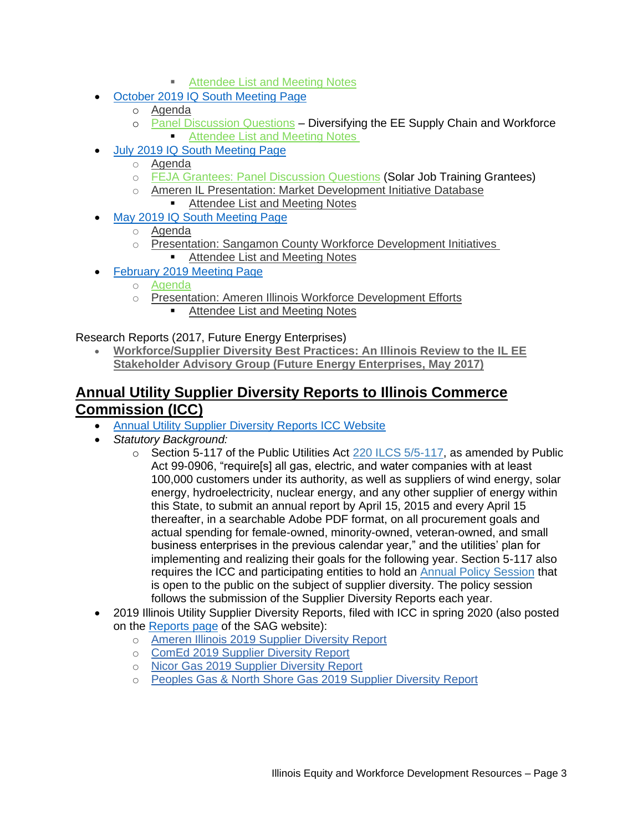- [Attendee List and Meeting Notes](https://iqadvisorycommittee.com/wp-content/uploads/2020/01/Meeting-Notes_IQ-South_12-11-19.pdf)
- [October 2019 IQ South Meeting Page](https://iqsouthadvisorycommittee.com/meeting/iq-south-advisory-committee-meeting-8/)
	- o [Agenda](https://iqadvisorycommittee.com/wp-content/uploads/2019/10/Final_-Agenda_IQ-South_10-16-19-Meeting-1.pdf)
	- o [Panel Discussion Questions](https://iqadvisorycommittee.com/wp-content/uploads/2019/10/IQ-South_10-16-19-Meeting_Panel-Discussion-Questions.pdf) Diversifying the EE Supply Chain and Workforce **[Attendee List and Meeting Notes](https://iqadvisorycommittee.com/wp-content/uploads/2019/10/Meeting-Notes_IQ-South_10-16-19.pdf)**
- [July 2019 IQ South Meeting Page](https://iqsouthadvisorycommittee.com/meeting/iq-south-advisory-committee-meeting-7/)
	- o [Agenda](https://iqadvisorycommittee.com/wp-content/uploads/2019/07/Updated_IQ-South_Final_Agenda_7-19-19-Meeting.pdf)
	- o [FEJA Grantees: Panel Discussion Questions](https://iqadvisorycommittee.com/wp-content/uploads/2019/07/Final_IQ-South_FEJA-Grantees_Panel-Discussion-Qs_7-19-19-Meeting.pdf) (Solar Job Training Grantees)
	- o [Ameren IL Presentation: Market Development Initiative Database](https://iqadvisorycommittee.com/wp-content/uploads/2019/07/IQ-South-AIC-MDI-Database-Presentation-20190718-Final.pdf) ■ [Attendee List and Meeting Notes](https://iqadvisorycommittee.com/wp-content/uploads/2019/08/Meeting-Notes_IQ-South-Advisory-Committee-Meeting_July-19-2019.pdf)
- [May 2019 IQ South Meeting Page](https://iqsouthadvisorycommittee.com/meeting/iq-south-advisory-committee-meeting-6/)
	- o [Agenda](https://iqadvisorycommittee.com/wp-content/uploads/2019/05/IQ-South_05-08-19_Meeting-Agenda_Final-Draft.pdf)
	- o [Presentation: Sangamon County Workforce Development Initiatives](https://iqadvisorycommittee.com/wp-content/uploads/2019/05/IQ-South_Final_Workforce-Development-Initiatives-Sangamon-County.pdf) ■ [Attendee List and Meeting Notes](https://iqadvisorycommittee.com/wp-content/uploads/2019/05/Final-Draft_IQ-South-Advisory-Committee-Meeting_May-8-2019_Notes.pdf)
	- [February 2019 Meeting Page](https://iqsouthadvisorycommittee.com/meeting/iq-south-advisory-committee-meeting-5/)
		- o [Agenda](https://iqadvisorycommittee.com/wp-content/uploads/2019/02/IQ_South_Final_Agenda_Feb-13-2019-Meeting.pdf)
		- o [Presentation: Ameren Illinois Workforce Development Efforts](https://iqadvisorycommittee.com/wp-content/uploads/2019/02/IQ_South_Ameren-IL_Workforce_Development_Efforts_2-13-19_Final.pdf)
			- [Attendee List and Meeting Notes](https://iqadvisorycommittee.com/wp-content/uploads/2019/03/Income-Qualified-South-Advisory-Committee_2-13-19-Meeting-Notes.pdf)

Research Reports (2017, Future Energy Enterprises)

• **[Workforce/Supplier Diversity Best Practices: An Illinois Review to the IL EE](https://iqadvisorycommittee.com/wp-content/uploads/2018/10/DCEO_Report_Workforce_Supplier_Diversity_Final_5-31-17.pdf)  [Stakeholder Advisory Group \(Future Energy Enterprises, May 2017\)](https://iqadvisorycommittee.com/wp-content/uploads/2018/10/DCEO_Report_Workforce_Supplier_Diversity_Final_5-31-17.pdf)**

# **Annual Utility Supplier Diversity Reports to Illinois Commerce Commission (ICC)**

- [Annual Utility Supplier Diversity Reports ICC Website](https://www.icc.illinois.gov/filings/mwvs/default.aspx)
- *Statutory Background:* 
	- $\circ$  Section 5-117 of the Public Utilities Act [220 ILCS 5/5-117,](http://www.ilga.gov/legislation/ilcs/fulltext.asp?DocName=022000050K5-117) as amended by Public Act 99-0906, "require[s] all gas, electric, and water companies with at least 100,000 customers under its authority, as well as suppliers of wind energy, solar energy, hydroelectricity, nuclear energy, and any other supplier of energy within this State, to submit an annual report by April 15, 2015 and every April 15 thereafter, in a searchable Adobe PDF format, on all procurement goals and actual spending for female-owned, minority-owned, veteran-owned, and small business enterprises in the previous calendar year," and the utilities' plan for implementing and realizing their goals for the following year. Section 5-117 also requires the ICC and participating entities to hold an [Annual Policy Session](https://www.icc.illinois.gov/meetings/list/policy-session/supplier-diversity) that is open to the public on the subject of supplier diversity. The policy session follows the submission of the Supplier Diversity Reports each year.
- 2019 Illinois Utility Supplier Diversity Reports, filed with ICC in spring 2020 (also posted on the [Reports page](https://www.ilsag.info/reports/) of the SAG website):
	- o [Ameren Illinois 2019 Supplier Diversity Report](https://ilsag.s3.amazonaws.com/2019-Ameren-IL-Supplier-Diversity-Report-to-ICC.pdf)
	- o [ComEd 2019 Supplier Diversity Report](https://ilsag.s3.amazonaws.com/2019-ComEd-Supplier-Diversity-Report-to-ICC.pdf)
	- o [Nicor Gas 2019 Supplier Diversity Report](https://ilsag.s3.amazonaws.com/2019-Nicor-Gas-Supplier-Diversity-Report-to-ICC.pdf)
	- o [Peoples Gas & North Shore Gas 2019 Supplier Diversity Report](https://ilsag.s3.amazonaws.com/2019-PG-NSG-Supplier-Diversity-Report-to-ICC.pdf)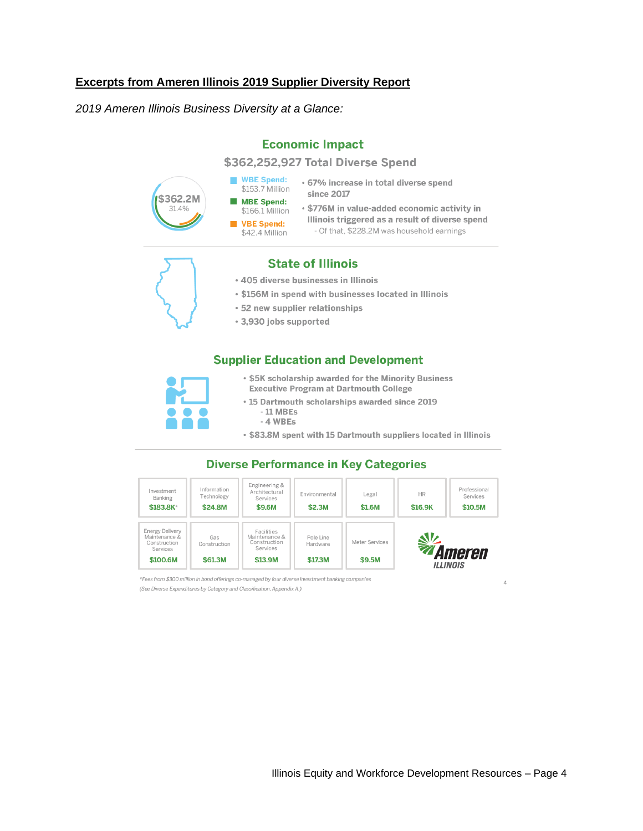#### **Excerpts from Ameren Illinois 2019 Supplier Diversity Report**

*2019 Ameren Illinois Business Diversity at a Glance:*

|                   | \$362,252,927 Total Diverse Spend                                                                                                    |
|-------------------|--------------------------------------------------------------------------------------------------------------------------------------|
| \$362.2M<br>31.4% | <b>WBE Spend:</b><br>• 67% increase in total diverse spend<br>\$153.7 Million<br>since 2017                                          |
|                   | <b>MBE Spend:</b><br>• \$776M in value-added economic activity in<br>\$166.1 Million                                                 |
|                   | Illinois triggered as a result of diverse spend<br><b>VBE Spend:</b><br>- Of that, \$228.2M was household earnings<br>\$42.4 Million |

**Economic Impact** 

#### **State of Illinois**

- . 405 diverse businesses in Illinois
- . \$156M in spend with businesses located in Illinois
- 52 new supplier relationships
- · 3,930 jobs supported

#### **Supplier Education and Development**



- . \$5K scholarship awarded for the Minority Business Executive Program at Dartmouth College
- 15 Dartmouth scholarships awarded since 2019  $-11$  MBEs
	- $-4 WBEs$
- . \$83.8M spent with 15 Dartmouth suppliers located in Illinois

#### **Diverse Performance in Key Categories**



\*Fees from \$300 million in bond offerings co-managed by four diverse investment banking companies (See Diverse Expenditures by Category and Classification, Appendix A.)

 $\overline{4}$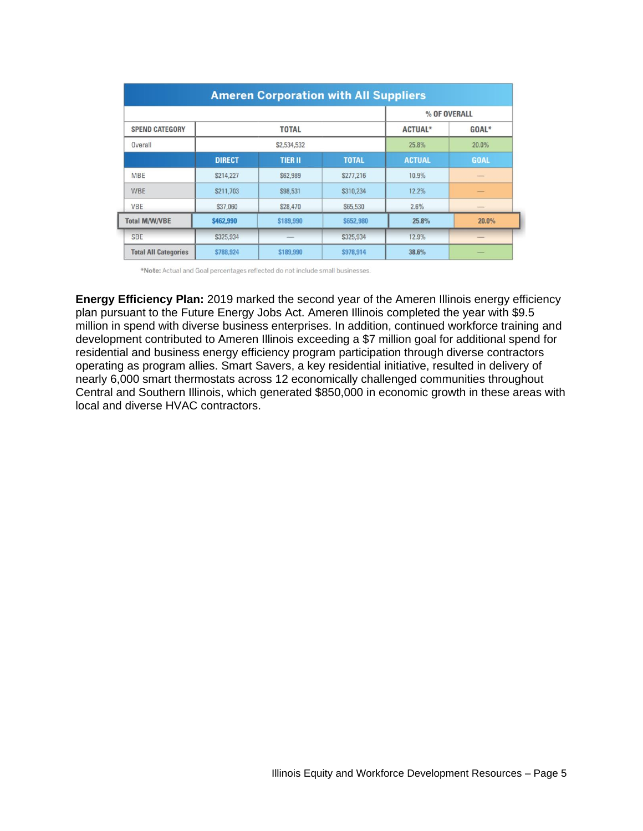| <b>Ameren Corporation with All Suppliers</b> |               |                 |              |                |                                                                                                                                                                                                                                                                                                                                                                                                                                                                            |  |  |
|----------------------------------------------|---------------|-----------------|--------------|----------------|----------------------------------------------------------------------------------------------------------------------------------------------------------------------------------------------------------------------------------------------------------------------------------------------------------------------------------------------------------------------------------------------------------------------------------------------------------------------------|--|--|
|                                              |               |                 |              | % OF OVERALL   |                                                                                                                                                                                                                                                                                                                                                                                                                                                                            |  |  |
| <b>SPEND CATEGORY</b>                        |               | <b>TOTAL</b>    |              | <b>ACTUAL*</b> | GOAL*                                                                                                                                                                                                                                                                                                                                                                                                                                                                      |  |  |
| Overall                                      |               | \$2,534,532     |              | 25.8%          | 20.0%                                                                                                                                                                                                                                                                                                                                                                                                                                                                      |  |  |
|                                              | <b>DIRECT</b> | <b>TIER II</b>  | <b>TOTAL</b> | <b>ACTUAL</b>  | <b>GOAL</b>                                                                                                                                                                                                                                                                                                                                                                                                                                                                |  |  |
| <b>MBE</b>                                   | \$214,227     | <b>\$62,989</b> | \$277,216    | 10.9%          | -                                                                                                                                                                                                                                                                                                                                                                                                                                                                          |  |  |
| <b>WBE</b>                                   | \$211,703     | \$98,531        | \$310,234    | 12.2%          |                                                                                                                                                                                                                                                                                                                                                                                                                                                                            |  |  |
| <b>VBE</b>                                   | \$37,060      | \$28,470        | \$65,530     | 2.6%           | $\frac{1}{2} \left( \frac{1}{2} \right) \left( \frac{1}{2} \right) \left( \frac{1}{2} \right) \left( \frac{1}{2} \right) \left( \frac{1}{2} \right) \left( \frac{1}{2} \right) \left( \frac{1}{2} \right) \left( \frac{1}{2} \right) \left( \frac{1}{2} \right) \left( \frac{1}{2} \right) \left( \frac{1}{2} \right) \left( \frac{1}{2} \right) \left( \frac{1}{2} \right) \left( \frac{1}{2} \right) \left( \frac{1}{2} \right) \left( \frac{1}{2} \right) \left( \frac$ |  |  |
| <b>Total M/W/VBE</b>                         | \$462,990     | \$189,990       | \$652,980    | 25.8%          | 20.0%                                                                                                                                                                                                                                                                                                                                                                                                                                                                      |  |  |
| <b>SBE</b>                                   | \$325,934     |                 | \$325,934    | 12.9%          |                                                                                                                                                                                                                                                                                                                                                                                                                                                                            |  |  |
| <b>Total All Categories</b>                  | \$788,924     | \$189,990       | \$978,914    | 38.6%          |                                                                                                                                                                                                                                                                                                                                                                                                                                                                            |  |  |

\*Note: Actual and Goal percentages reflected do not include small businesses.

**Energy Efficiency Plan:** 2019 marked the second year of the Ameren Illinois energy efficiency plan pursuant to the Future Energy Jobs Act. Ameren Illinois completed the year with \$9.5 million in spend with diverse business enterprises. In addition, continued workforce training and development contributed to Ameren Illinois exceeding a \$7 million goal for additional spend for residential and business energy efficiency program participation through diverse contractors operating as program allies. Smart Savers, a key residential initiative, resulted in delivery of nearly 6,000 smart thermostats across 12 economically challenged communities throughout Central and Southern Illinois, which generated \$850,000 in economic growth in these areas with local and diverse HVAC contractors.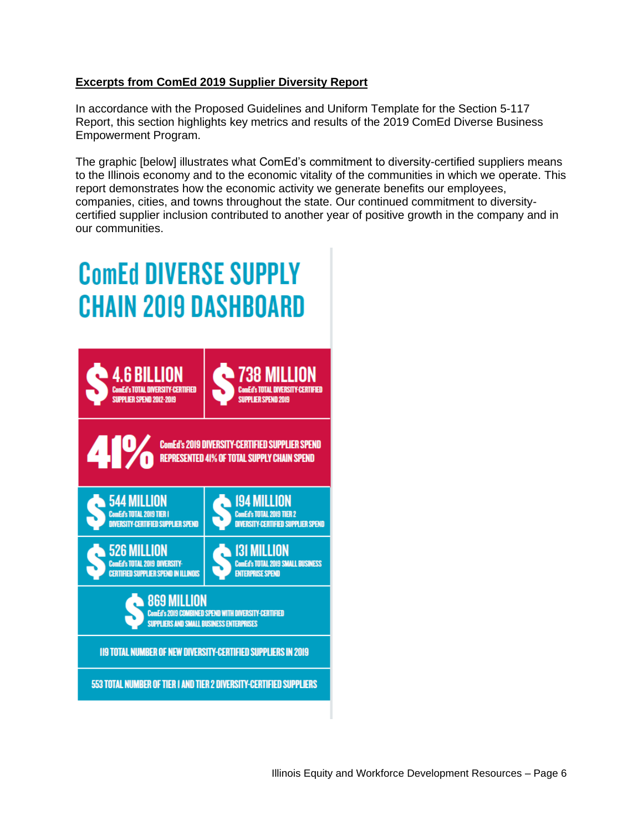### **Excerpts from ComEd 2019 Supplier Diversity Report**

In accordance with the Proposed Guidelines and Uniform Template for the Section 5-117 Report, this section highlights key metrics and results of the 2019 ComEd Diverse Business Empowerment Program.

The graphic [below] illustrates what ComEd's commitment to diversity-certified suppliers means to the Illinois economy and to the economic vitality of the communities in which we operate. This report demonstrates how the economic activity we generate benefits our employees, companies, cities, and towns throughout the state. Our continued commitment to diversitycertified supplier inclusion contributed to another year of positive growth in the company and in our communities.

# **ComEd DIVERSE SUPPLY CHAIN 2019 DASHBOARD**

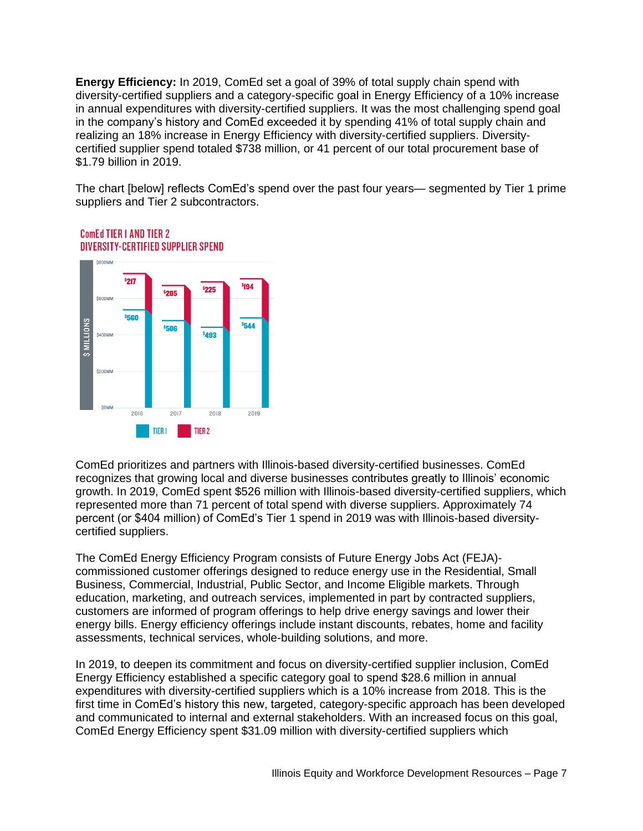**Energy Efficiency:** In 2019, ComEd set a goal of 39% of total supply chain spend with diversity-certified suppliers and a category-specific goal in Energy Efficiency of a 10% increase in annual expenditures with diversity-certified suppliers. It was the most challenging spend goal in the company's history and ComEd exceeded it by spending 41% of total supply chain and realizing an 18% increase in Energy Efficiency with diversity-certified suppliers. Diversitycertified supplier spend totaled \$738 million, or 41 percent of our total procurement base of \$1.79 billion in 2019.

The chart [below] reflects ComEd's spend over the past four years— segmented by Tier 1 prime suppliers and Tier 2 subcontractors.



## ComEd TIFR LAND TIFR 2 **DIVERSITY-CERTIFIED SUPPLIER SPEND**

ComEd prioritizes and partners with Illinois-based diversity-certified businesses. ComEd recognizes that growing local and diverse businesses contributes greatly to Illinois' economic growth. In 2019, ComEd spent \$526 million with Illinois-based diversity-certified suppliers, which represented more than 71 percent of total spend with diverse suppliers. Approximately 74 percent (or \$404 million) of ComEd's Tier 1 spend in 2019 was with Illinois-based diversitycertified suppliers.

The ComEd Energy Efficiency Program consists of Future Energy Jobs Act (FEJA) commissioned customer offerings designed to reduce energy use in the Residential, Small Business, Commercial, Industrial, Public Sector, and Income Eligible markets. Through education, marketing, and outreach services, implemented in part by contracted suppliers, customers are informed of program offerings to help drive energy savings and lower their energy bills. Energy efficiency offerings include instant discounts, rebates, home and facility assessments, technical services, whole-building solutions, and more.

In 2019, to deepen its commitment and focus on diversity-certified supplier inclusion, ComEd Energy Efficiency established a specific category goal to spend \$28.6 million in annual expenditures with diversity-certified suppliers which is a 10% increase from 2018. This is the first time in ComEd's history this new, targeted, category-specific approach has been developed and communicated to internal and external stakeholders. With an increased focus on this goal, ComEd Energy Efficiency spent \$31.09 million with diversity-certified suppliers which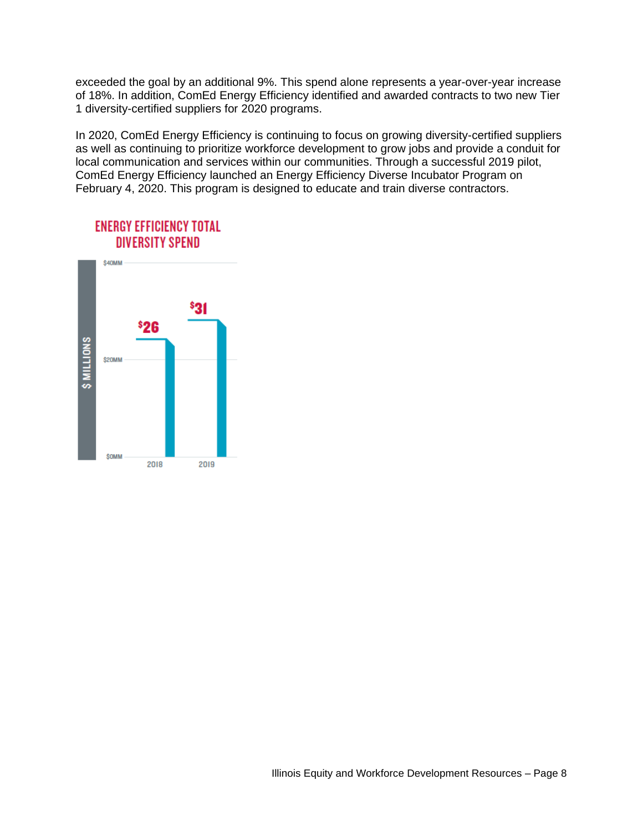exceeded the goal by an additional 9%. This spend alone represents a year-over-year increase of 18%. In addition, ComEd Energy Efficiency identified and awarded contracts to two new Tier 1 diversity-certified suppliers for 2020 programs.

In 2020, ComEd Energy Efficiency is continuing to focus on growing diversity-certified suppliers as well as continuing to prioritize workforce development to grow jobs and provide a conduit for local communication and services within our communities. Through a successful 2019 pilot, ComEd Energy Efficiency launched an Energy Efficiency Diverse Incubator Program on February 4, 2020. This program is designed to educate and train diverse contractors.

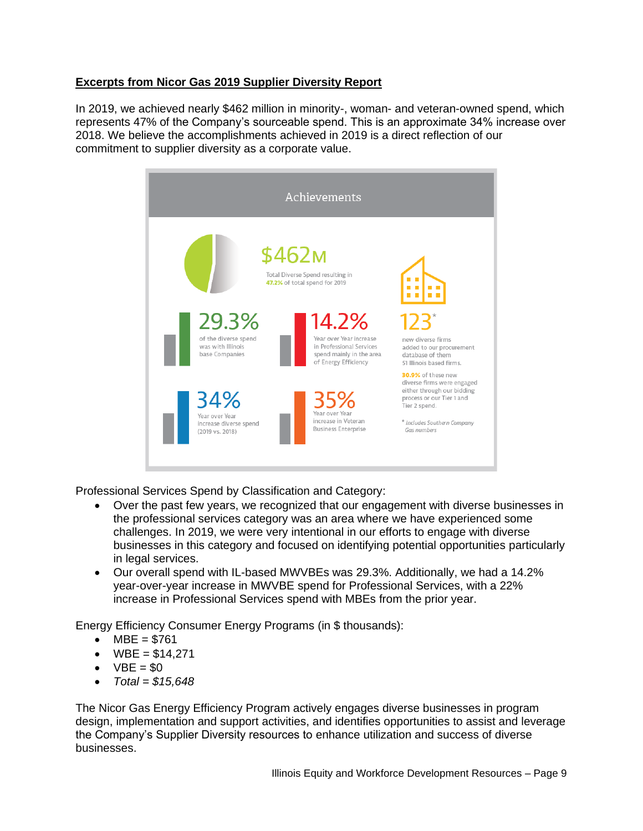## **Excerpts from Nicor Gas 2019 Supplier Diversity Report**

In 2019, we achieved nearly \$462 million in minority-, woman- and veteran-owned spend, which represents 47% of the Company's sourceable spend. This is an approximate 34% increase over 2018. We believe the accomplishments achieved in 2019 is a direct reflection of our commitment to supplier diversity as a corporate value.



Professional Services Spend by Classification and Category:

- Over the past few years, we recognized that our engagement with diverse businesses in the professional services category was an area where we have experienced some challenges. In 2019, we were very intentional in our efforts to engage with diverse businesses in this category and focused on identifying potential opportunities particularly in legal services.
- Our overall spend with IL-based MWVBEs was 29.3%. Additionally, we had a 14.2% year-over-year increase in MWVBE spend for Professional Services, with a 22% increase in Professional Services spend with MBEs from the prior year.

Energy Efficiency Consumer Energy Programs (in \$ thousands):

- $MBE = $761$
- $WBE = $14.271$
- $\bullet$  VBE = \$0
- *Total = \$15,648*

The Nicor Gas Energy Efficiency Program actively engages diverse businesses in program design, implementation and support activities, and identifies opportunities to assist and leverage the Company's Supplier Diversity resources to enhance utilization and success of diverse businesses.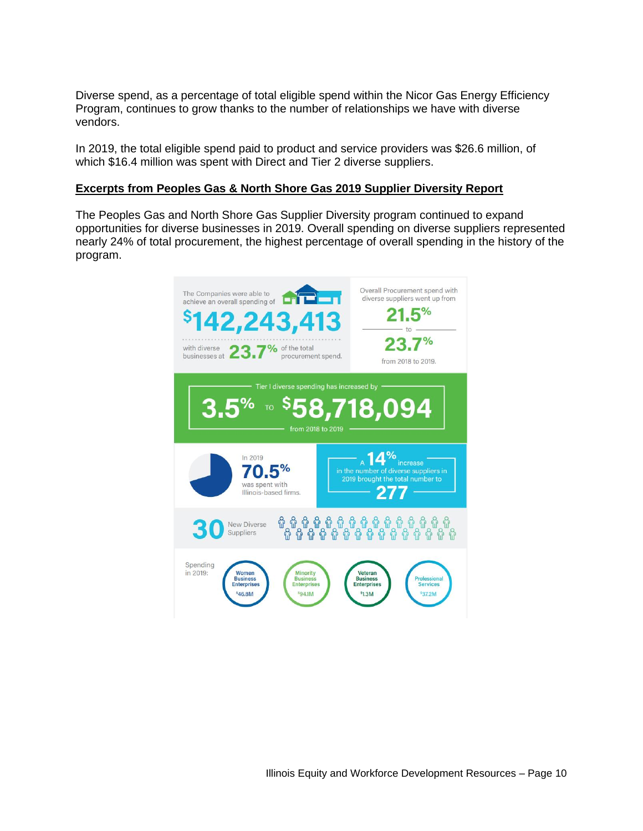Diverse spend, as a percentage of total eligible spend within the Nicor Gas Energy Efficiency Program, continues to grow thanks to the number of relationships we have with diverse vendors.

In 2019, the total eligible spend paid to product and service providers was \$26.6 million, of which \$16.4 million was spent with Direct and Tier 2 diverse suppliers.

#### **Excerpts from Peoples Gas & North Shore Gas 2019 Supplier Diversity Report**

The Peoples Gas and North Shore Gas Supplier Diversity program continued to expand opportunities for diverse businesses in 2019. Overall spending on diverse suppliers represented nearly 24% of total procurement, the highest percentage of overall spending in the history of the program.